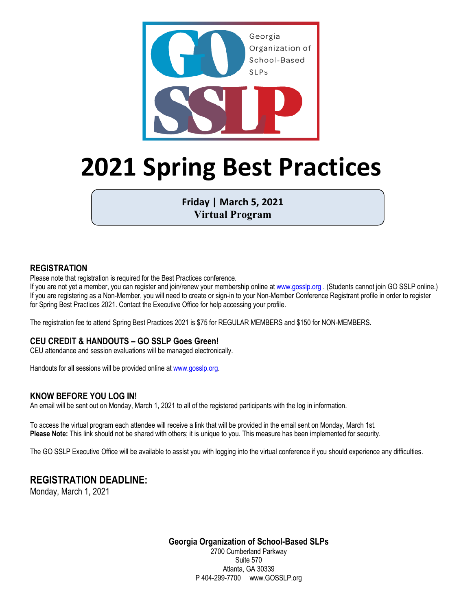

# **2021 Spring Best Practices**

**Friday | March 5, 2021 Virtual Program**

### **REGISTRATION**

Please note that registration is required for the Best Practices conference.

If you are not yet a member, you can register and join/renew your membership online at www.gosslp.org . (Students cannot join GO SSLP online.) If you are registering as a Non-Member, you will need to create or sign-in to your Non-Member Conference Registrant profile in order to register for Spring Best Practices 2021. Contact the Executive Office for help accessing your profile.

The registration fee to attend Spring Best Practices 2021 is \$75 for REGULAR MEMBERS and \$150 for NON-MEMBERS.

### **CEU CREDIT & HANDOUTS – GO SSLP Goes Green!**

CEU attendance and session evaluations will be managed electronically.

Handouts for all sessions will be provided online at www.gosslp.org.

### **KNOW BEFORE YOU LOG IN!**

An email will be sent out on Monday, March 1, 2021 to all of the registered participants with the log in information.

To access the virtual program each attendee will receive a link that will be provided in the email sent on Monday, March 1st. **Please Note:** This link should not be shared with others; it is unique to you. This measure has been implemented for security.

The GO SSLP Executive Office will be available to assist you with logging into the virtual conference if you should experience any difficulties.

# **REGISTRATION DEADLINE:**

Monday, March 1, 2021

**Georgia Organization of School-Based SLPs** 2700 Cumberland Parkway

Suite 570 Atlanta, GA 30339 P 404-299-7700 www.GOSSLP.org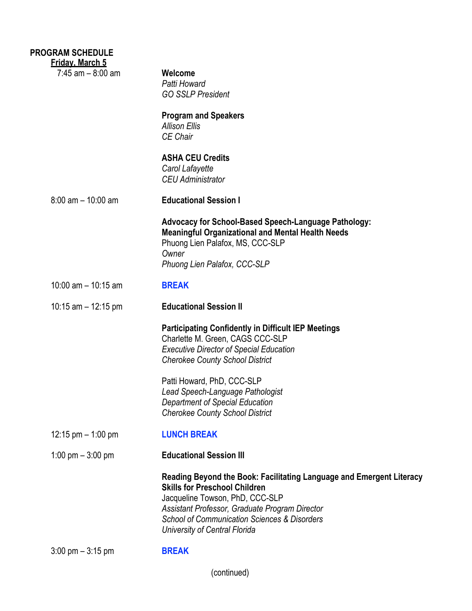| <b>PROGRAM SCHEDULE</b><br><b>Friday, March 5</b> |                                                                                                                                                                                                                                                                                               |
|---------------------------------------------------|-----------------------------------------------------------------------------------------------------------------------------------------------------------------------------------------------------------------------------------------------------------------------------------------------|
| $7:45$ am $-8:00$ am                              | Welcome<br>Patti Howard<br><b>GO SSLP President</b>                                                                                                                                                                                                                                           |
|                                                   | <b>Program and Speakers</b><br><b>Allison Ellis</b><br>CE Chair                                                                                                                                                                                                                               |
|                                                   | <b>ASHA CEU Credits</b><br>Carol Lafayette<br><b>CEU Administrator</b>                                                                                                                                                                                                                        |
| $8:00$ am $-10:00$ am                             | <b>Educational Session I</b>                                                                                                                                                                                                                                                                  |
|                                                   | <b>Advocacy for School-Based Speech-Language Pathology:</b><br><b>Meaningful Organizational and Mental Health Needs</b><br>Phuong Lien Palafox, MS, CCC-SLP<br>Owner<br>Phuong Lien Palafox, CCC-SLP                                                                                          |
| $10:00$ am $- 10:15$ am                           | <b>BREAK</b>                                                                                                                                                                                                                                                                                  |
| 10:15 am $-$ 12:15 pm                             | <b>Educational Session II</b>                                                                                                                                                                                                                                                                 |
|                                                   | <b>Participating Confidently in Difficult IEP Meetings</b><br>Charlette M. Green, CAGS CCC-SLP<br><b>Executive Director of Special Education</b><br><b>Cherokee County School District</b>                                                                                                    |
|                                                   | Patti Howard, PhD, CCC-SLP<br>Lead Speech-Language Pathologist<br>Department of Special Education<br><b>Cherokee County School District</b>                                                                                                                                                   |
| 12:15 pm $-$ 1:00 pm                              | <b>LUNCH BREAK</b>                                                                                                                                                                                                                                                                            |
| 1:00 pm $-$ 3:00 pm                               | <b>Educational Session III</b>                                                                                                                                                                                                                                                                |
|                                                   | Reading Beyond the Book: Facilitating Language and Emergent Literacy<br><b>Skills for Preschool Children</b><br>Jacqueline Towson, PhD, CCC-SLP<br>Assistant Professor, Graduate Program Director<br><b>School of Communication Sciences &amp; Disorders</b><br>University of Central Florida |
| $3:00 \text{ pm} - 3:15 \text{ pm}$               | <b>BREAK</b>                                                                                                                                                                                                                                                                                  |

(continued)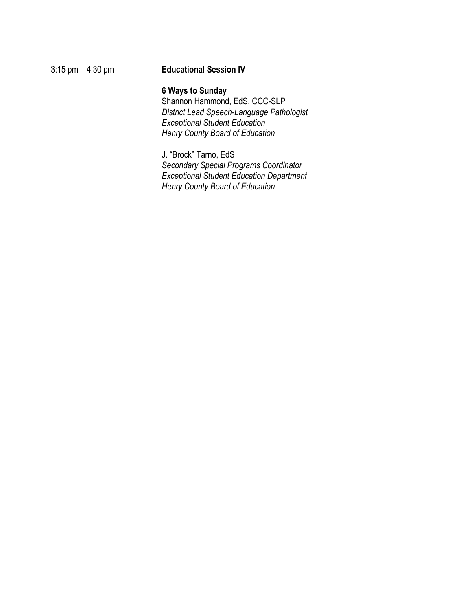### 3:15 pm – 4:30 pm **Educational Session IV**

### **6 Ways to Sunday**

Shannon Hammond, EdS, CCC-SLP *District Lead Speech-Language Pathologist Exceptional Student Education Henry County Board of Education*

J. "Brock" Tarno, EdS *Secondary Special Programs Coordinator Exceptional Student Education Department Henry County Board of Education*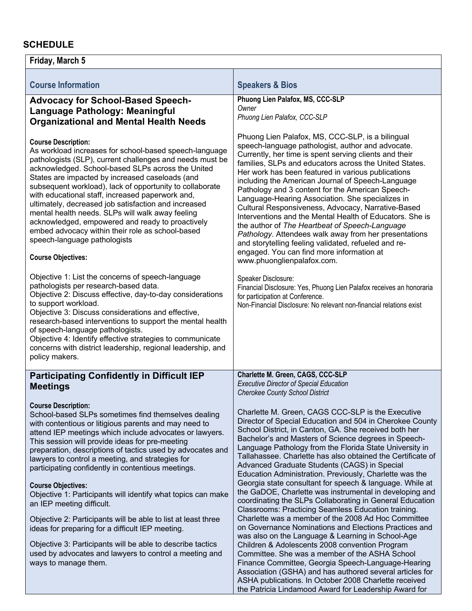## **SCHEDULE**

| Friday, March 5                                                                                                                                                                                                                                                                                                                                                                                                                                                                                                                                                                                                                                           |                                                                                                                                                                                                                                                                                                                                                                                                                                                                                                                                                                                                                                                                                                                                                                                                              |  |  |
|-----------------------------------------------------------------------------------------------------------------------------------------------------------------------------------------------------------------------------------------------------------------------------------------------------------------------------------------------------------------------------------------------------------------------------------------------------------------------------------------------------------------------------------------------------------------------------------------------------------------------------------------------------------|--------------------------------------------------------------------------------------------------------------------------------------------------------------------------------------------------------------------------------------------------------------------------------------------------------------------------------------------------------------------------------------------------------------------------------------------------------------------------------------------------------------------------------------------------------------------------------------------------------------------------------------------------------------------------------------------------------------------------------------------------------------------------------------------------------------|--|--|
| <b>Course Information</b>                                                                                                                                                                                                                                                                                                                                                                                                                                                                                                                                                                                                                                 | <b>Speakers &amp; Bios</b>                                                                                                                                                                                                                                                                                                                                                                                                                                                                                                                                                                                                                                                                                                                                                                                   |  |  |
| <b>Advocacy for School-Based Speech-</b><br>Language Pathology: Meaningful<br><b>Organizational and Mental Health Needs</b>                                                                                                                                                                                                                                                                                                                                                                                                                                                                                                                               | Phuong Lien Palafox, MS, CCC-SLP<br>Owner<br>Phuong Lien Palafox, CCC-SLP                                                                                                                                                                                                                                                                                                                                                                                                                                                                                                                                                                                                                                                                                                                                    |  |  |
| <b>Course Description:</b><br>As workload increases for school-based speech-language<br>pathologists (SLP), current challenges and needs must be<br>acknowledged. School-based SLPs across the United<br>States are impacted by increased caseloads (and<br>subsequent workload), lack of opportunity to collaborate<br>with educational staff, increased paperwork and,<br>ultimately, decreased job satisfaction and increased<br>mental health needs. SLPs will walk away feeling<br>acknowledged, empowered and ready to proactively<br>embed advocacy within their role as school-based<br>speech-language pathologists<br><b>Course Objectives:</b> | Phuong Lien Palafox, MS, CCC-SLP, is a bilingual<br>speech-language pathologist, author and advocate.<br>Currently, her time is spent serving clients and their<br>families, SLPs and educators across the United States.<br>Her work has been featured in various publications<br>including the American Journal of Speech-Language<br>Pathology and 3 content for the American Speech-<br>Language-Hearing Association. She specializes in<br>Cultural Responsiveness, Advocacy, Narrative-Based<br>Interventions and the Mental Health of Educators. She is<br>the author of The Heartbeat of Speech-Language<br>Pathology. Attendees walk away from her presentations<br>and storytelling feeling validated, refueled and re-<br>engaged. You can find more information at<br>www.phuonglienpalafox.com. |  |  |
| Objective 1: List the concerns of speech-language<br>pathologists per research-based data.<br>Objective 2: Discuss effective, day-to-day considerations<br>to support workload.<br>Objective 3: Discuss considerations and effective,<br>research-based interventions to support the mental health<br>of speech-language pathologists.<br>Objective 4: Identify effective strategies to communicate<br>concerns with district leadership, regional leadership, and<br>policy makers.                                                                                                                                                                      | Speaker Disclosure:<br>Financial Disclosure: Yes, Phuong Lien Palafox receives an honoraria<br>for participation at Conference.<br>Non-Financial Disclosure: No relevant non-financial relations exist                                                                                                                                                                                                                                                                                                                                                                                                                                                                                                                                                                                                       |  |  |
| <b>Participating Confidently in Difficult IEP</b><br><b>Meetings</b>                                                                                                                                                                                                                                                                                                                                                                                                                                                                                                                                                                                      | Charlette M. Green, CAGS, CCC-SLP<br><b>Executive Director of Special Education</b><br><b>Cherokee County School District</b>                                                                                                                                                                                                                                                                                                                                                                                                                                                                                                                                                                                                                                                                                |  |  |
| <b>Course Description:</b><br>School-based SLPs sometimes find themselves dealing<br>with contentious or litigious parents and may need to<br>attend IEP meetings which include advocates or lawyers.<br>This session will provide ideas for pre-meeting<br>preparation, descriptions of tactics used by advocates and<br>lawyers to control a meeting, and strategies for<br>participating confidently in contentious meetings.<br><b>Course Objectives:</b>                                                                                                                                                                                             | Charlette M. Green, CAGS CCC-SLP is the Executive<br>Director of Special Education and 504 in Cherokee County<br>School District, in Canton, GA. She received both her<br>Bachelor's and Masters of Science degrees in Speech-<br>Language Pathology from the Florida State University in<br>Tallahassee. Charlette has also obtained the Certificate of<br>Advanced Graduate Students (CAGS) in Special<br>Education Administration. Previously, Charlette was the<br>Georgia state consultant for speech & language. While at                                                                                                                                                                                                                                                                              |  |  |
| Objective 1: Participants will identify what topics can make<br>an IEP meeting difficult.                                                                                                                                                                                                                                                                                                                                                                                                                                                                                                                                                                 | the GaDOE, Charlette was instrumental in developing and<br>coordinating the SLPs Collaborating in General Education<br>Classrooms: Practicing Seamless Education training.                                                                                                                                                                                                                                                                                                                                                                                                                                                                                                                                                                                                                                   |  |  |
| Objective 2: Participants will be able to list at least three<br>ideas for preparing for a difficult IEP meeting.                                                                                                                                                                                                                                                                                                                                                                                                                                                                                                                                         | Charlette was a member of the 2008 Ad Hoc Committee<br>on Governance Nominations and Elections Practices and<br>was also on the Language & Learning in School-Age                                                                                                                                                                                                                                                                                                                                                                                                                                                                                                                                                                                                                                            |  |  |
| Objective 3: Participants will be able to describe tactics<br>used by advocates and lawyers to control a meeting and<br>ways to manage them.                                                                                                                                                                                                                                                                                                                                                                                                                                                                                                              | Children & Adolescents 2008 convention Program<br>Committee. She was a member of the ASHA School<br>Finance Committee, Georgia Speech-Language-Hearing<br>Association (GSHA) and has authored several articles for<br>ASHA publications. In October 2008 Charlette received<br>the Patricia Lindamood Award for Leadership Award for                                                                                                                                                                                                                                                                                                                                                                                                                                                                         |  |  |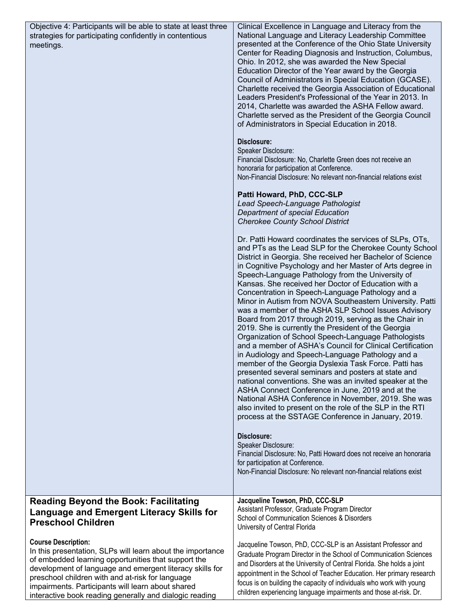| Objective 4: Participants will be able to state at least three<br>strategies for participating confidently in contentious<br>meetings.                                                                                                                                                                                                                                          | Clinical Excellence in Language and Literacy from the<br>National Language and Literacy Leadership Committee<br>presented at the Conference of the Ohio State University<br>Center for Reading Diagnosis and Instruction, Columbus,<br>Ohio. In 2012, she was awarded the New Special<br>Education Director of the Year award by the Georgia<br>Council of Administrators in Special Education (GCASE).<br>Charlette received the Georgia Association of Educational<br>Leaders President's Professional of the Year in 2013. In<br>2014, Charlette was awarded the ASHA Fellow award.<br>Charlette served as the President of the Georgia Council<br>of Administrators in Special Education in 2018.<br>Disclosure:<br>Speaker Disclosure:<br>Financial Disclosure: No, Charlette Green does not receive an<br>honoraria for participation at Conference.<br>Non-Financial Disclosure: No relevant non-financial relations exist<br>Patti Howard, PhD, CCC-SLP<br>Lead Speech-Language Pathologist<br>Department of special Education<br><b>Cherokee County School District</b><br>Dr. Patti Howard coordinates the services of SLPs, OTs,<br>and PTs as the Lead SLP for the Cherokee County School<br>District in Georgia. She received her Bachelor of Science<br>in Cognitive Psychology and her Master of Arts degree in<br>Speech-Language Pathology from the University of<br>Kansas. She received her Doctor of Education with a<br>Concentration in Speech-Language Pathology and a<br>Minor in Autism from NOVA Southeastern University. Patti<br>was a member of the ASHA SLP School Issues Advisory<br>Board from 2017 through 2019, serving as the Chair in<br>2019. She is currently the President of the Georgia<br>Organization of School Speech-Language Pathologists<br>and a member of ASHA's Council for Clinical Certification<br>in Audiology and Speech-Language Pathology and a<br>member of the Georgia Dyslexia Task Force. Patti has<br>presented several seminars and posters at state and<br>national conventions. She was an invited speaker at the<br>ASHA Connect Conference in June, 2019 and at the<br>National ASHA Conference in November, 2019. She was<br>also invited to present on the role of the SLP in the RTI<br>process at the SSTAGE Conference in January, 2019.<br>Disclosure:<br>Speaker Disclosure:<br>Financial Disclosure: No, Patti Howard does not receive an honoraria<br>for participation at Conference.<br>Non-Financial Disclosure: No relevant non-financial relations exist |
|---------------------------------------------------------------------------------------------------------------------------------------------------------------------------------------------------------------------------------------------------------------------------------------------------------------------------------------------------------------------------------|-------------------------------------------------------------------------------------------------------------------------------------------------------------------------------------------------------------------------------------------------------------------------------------------------------------------------------------------------------------------------------------------------------------------------------------------------------------------------------------------------------------------------------------------------------------------------------------------------------------------------------------------------------------------------------------------------------------------------------------------------------------------------------------------------------------------------------------------------------------------------------------------------------------------------------------------------------------------------------------------------------------------------------------------------------------------------------------------------------------------------------------------------------------------------------------------------------------------------------------------------------------------------------------------------------------------------------------------------------------------------------------------------------------------------------------------------------------------------------------------------------------------------------------------------------------------------------------------------------------------------------------------------------------------------------------------------------------------------------------------------------------------------------------------------------------------------------------------------------------------------------------------------------------------------------------------------------------------------------------------------------------------------------------------------------------------------------------------------------------------------------------------------------------------------------------------------------------------------------------------------------------------------------------------------------------------------------------------------------------------------------------------------------------------------------------------------------------------------------------------------------------------------------------------|
| <b>Reading Beyond the Book: Facilitating</b>                                                                                                                                                                                                                                                                                                                                    | Jacqueline Towson, PhD, CCC-SLP                                                                                                                                                                                                                                                                                                                                                                                                                                                                                                                                                                                                                                                                                                                                                                                                                                                                                                                                                                                                                                                                                                                                                                                                                                                                                                                                                                                                                                                                                                                                                                                                                                                                                                                                                                                                                                                                                                                                                                                                                                                                                                                                                                                                                                                                                                                                                                                                                                                                                                           |
| <b>Language and Emergent Literacy Skills for</b><br><b>Preschool Children</b>                                                                                                                                                                                                                                                                                                   | Assistant Professor, Graduate Program Director<br>School of Communication Sciences & Disorders<br>University of Central Florida                                                                                                                                                                                                                                                                                                                                                                                                                                                                                                                                                                                                                                                                                                                                                                                                                                                                                                                                                                                                                                                                                                                                                                                                                                                                                                                                                                                                                                                                                                                                                                                                                                                                                                                                                                                                                                                                                                                                                                                                                                                                                                                                                                                                                                                                                                                                                                                                           |
| <b>Course Description:</b><br>In this presentation, SLPs will learn about the importance<br>of embedded learning opportunities that support the<br>development of language and emergent literacy skills for<br>preschool children with and at-risk for language<br>impairments. Participants will learn about shared<br>interactive book reading generally and dialogic reading | Jacqueline Towson, PhD, CCC-SLP is an Assistant Professor and<br>Graduate Program Director in the School of Communication Sciences<br>and Disorders at the University of Central Florida. She holds a joint<br>appointment in the School of Teacher Education. Her primary research<br>focus is on building the capacity of individuals who work with young<br>children experiencing language impairments and those at-risk. Dr.                                                                                                                                                                                                                                                                                                                                                                                                                                                                                                                                                                                                                                                                                                                                                                                                                                                                                                                                                                                                                                                                                                                                                                                                                                                                                                                                                                                                                                                                                                                                                                                                                                                                                                                                                                                                                                                                                                                                                                                                                                                                                                          |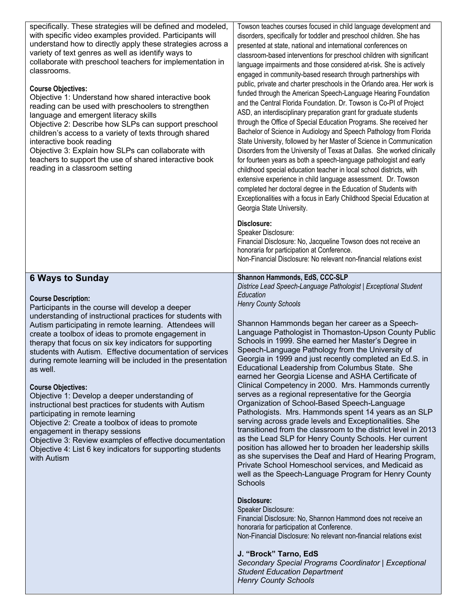| specifically. These strategies will be defined and modeled,<br>with specific video examples provided. Participants will<br>understand how to directly apply these strategies across a<br>variety of text genres as well as identify ways to<br>collaborate with preschool teachers for implementation in<br>classrooms.<br><b>Course Objectives:</b><br>Objective 1: Understand how shared interactive book<br>reading can be used with preschoolers to strengthen<br>language and emergent literacy skills<br>Objective 2: Describe how SLPs can support preschool<br>children's access to a variety of texts through shared<br>interactive book reading<br>Objective 3: Explain how SLPs can collaborate with<br>teachers to support the use of shared interactive book<br>reading in a classroom setting                                                                                            | Towson teaches courses focused in child language development and<br>disorders, specifically for toddler and preschool children. She has<br>presented at state, national and international conferences on<br>classroom-based interventions for preschool children with significant<br>language impairments and those considered at-risk. She is actively<br>engaged in community-based research through partnerships with<br>public, private and charter preschools in the Orlando area. Her work is<br>funded through the American Speech-Language Hearing Foundation<br>and the Central Florida Foundation. Dr. Towson is Co-PI of Project<br>ASD, an interdisciplinary preparation grant for graduate students<br>through the Office of Special Education Programs. She received her<br>Bachelor of Science in Audiology and Speech Pathology from Florida<br>State University, followed by her Master of Science in Communication<br>Disorders from the University of Texas at Dallas. She worked clinically<br>for fourteen years as both a speech-language pathologist and early<br>childhood special education teacher in local school districts, with<br>extensive experience in child language assessment. Dr. Towson<br>completed her doctoral degree in the Education of Students with<br>Exceptionalities with a focus in Early Childhood Special Education at<br>Georgia State University.<br>Disclosure:<br>Speaker Disclosure:<br>Financial Disclosure: No, Jacqueline Towson does not receive an<br>honoraria for participation at Conference.<br>Non-Financial Disclosure: No relevant non-financial relations exist |
|--------------------------------------------------------------------------------------------------------------------------------------------------------------------------------------------------------------------------------------------------------------------------------------------------------------------------------------------------------------------------------------------------------------------------------------------------------------------------------------------------------------------------------------------------------------------------------------------------------------------------------------------------------------------------------------------------------------------------------------------------------------------------------------------------------------------------------------------------------------------------------------------------------|--------------------------------------------------------------------------------------------------------------------------------------------------------------------------------------------------------------------------------------------------------------------------------------------------------------------------------------------------------------------------------------------------------------------------------------------------------------------------------------------------------------------------------------------------------------------------------------------------------------------------------------------------------------------------------------------------------------------------------------------------------------------------------------------------------------------------------------------------------------------------------------------------------------------------------------------------------------------------------------------------------------------------------------------------------------------------------------------------------------------------------------------------------------------------------------------------------------------------------------------------------------------------------------------------------------------------------------------------------------------------------------------------------------------------------------------------------------------------------------------------------------------------------------------------------------------------------------------------------------------------------------|
| <b>6 Ways to Sunday</b><br><b>Course Description:</b><br>Participants in the course will develop a deeper<br>understanding of instructional practices for students with<br>Autism participating in remote learning. Attendees will<br>create a toolbox of ideas to promote engagement in<br>therapy that focus on six key indicators for supporting<br>students with Autism. Effective documentation of services<br>during remote learning will be included in the presentation<br>as well.<br><b>Course Objectives:</b><br>Objective 1: Develop a deeper understanding of<br>instructional best practices for students with Autism<br>participating in remote learning<br>Objective 2: Create a toolbox of ideas to promote<br>engagement in therapy sessions<br>Objective 3: Review examples of effective documentation<br>Objective 4: List 6 key indicators for supporting students<br>with Autism | Shannon Hammonds, EdS, CCC-SLP<br>Districe Lead Speech-Language Pathologist   Exceptional Student<br>Education<br><b>Henry County Schools</b><br>Shannon Hammonds began her career as a Speech-<br>Language Pathologist in Thomaston-Upson County Public<br>Schools in 1999. She earned her Master's Degree in<br>Speech-Language Pathology from the University of<br>Georgia in 1999 and just recently completed an Ed.S. in<br>Educational Leadership from Columbus State. She<br>earned her Georgia License and ASHA Certificate of<br>Clinical Competency in 2000. Mrs. Hammonds currently<br>serves as a regional representative for the Georgia<br>Organization of School-Based Speech-Language<br>Pathologists. Mrs. Hammonds spent 14 years as an SLP<br>serving across grade levels and Exceptionalities. She<br>transitioned from the classroom to the district level in 2013<br>as the Lead SLP for Henry County Schools. Her current<br>position has allowed her to broaden her leadership skills<br>as she supervises the Deaf and Hard of Hearing Program,<br>Private School Homeschool services, and Medicaid as<br>well as the Speech-Language Program for Henry County<br>Schools<br>Disclosure:<br>Speaker Disclosure:<br>Financial Disclosure: No, Shannon Hammond does not receive an<br>honoraria for participation at Conference.<br>Non-Financial Disclosure: No relevant non-financial relations exist<br>J. "Brock" Tarno, EdS<br>Secondary Special Programs Coordinator   Exceptional<br><b>Student Education Department</b>                                                                               |

*Henry County Schools*